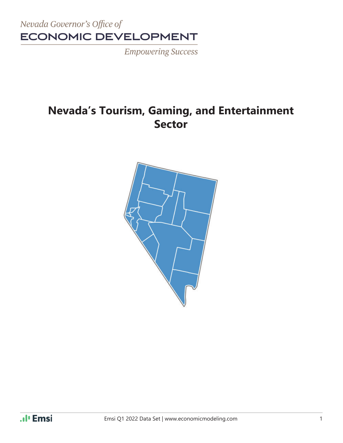

**Empowering Success** 

## **Nevada's Tourism, Gaming, and Entertainment Sector**

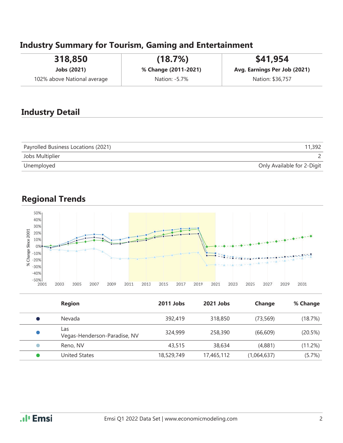## **Industry Summary for Tourism, Gaming and Entertainment**

| 318,850                     | (18.7%)              | \$41,954                     |
|-----------------------------|----------------------|------------------------------|
| Jobs (2021)                 | % Change (2011-2021) | Avg. Earnings Per Job (2021) |
| 102% above National average | Nation: -5.7%        | Nation: \$36,757             |

#### **Industry Detail**

| Payrolled Business Locations (2021) | 11,392                     |
|-------------------------------------|----------------------------|
| Jobs Multiplier                     |                            |
| Unemployed                          | Only Available for 2-Digit |

## **Regional Trends**



|           | <b>Region</b>                       | 2011 Jobs  | 2021 Jobs  | Change      | % Change |
|-----------|-------------------------------------|------------|------------|-------------|----------|
|           | Nevada                              | 392,419    | 318,850    | (73, 569)   | (18.7%)  |
|           | Las<br>Vegas-Henderson-Paradise, NV | 324,999    | 258,390    | (66, 609)   | (20.5%)  |
| $\bullet$ | Reno, NV                            | 43,515     | 38,634     | (4,881)     | (11.2%)  |
|           | <b>United States</b>                | 18,529,749 | 17,465,112 | (1,064,637) | (5.7%)   |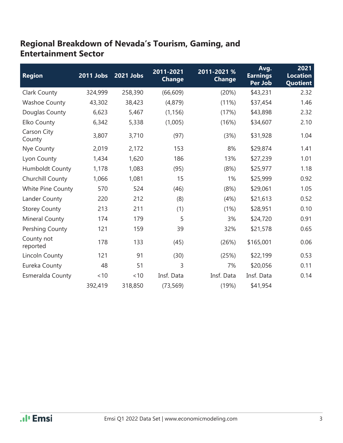## **Regional Breakdown of Nevada's Tourism, Gaming, and Entertainment Sector**

| <b>Region</b>          | 2011 Jobs | 2021 Jobs | 2011-2021<br><b>Change</b> | 2011-2021 %<br><b>Change</b> | Avg.<br><b>Earnings</b><br>Per Job | 2021<br><b>Location</b><br><b>Quotient</b> |
|------------------------|-----------|-----------|----------------------------|------------------------------|------------------------------------|--------------------------------------------|
| Clark County           | 324,999   | 258,390   | (66, 609)                  | (20%)                        | \$43,231                           | 2.32                                       |
| <b>Washoe County</b>   | 43,302    | 38,423    | (4,879)                    | (11%)                        | \$37,454                           | 1.46                                       |
| Douglas County         | 6,623     | 5,467     | (1, 156)                   | (17%)                        | \$43,898                           | 2.32                                       |
| Elko County            | 6,342     | 5,338     | (1,005)                    | (16%)                        | \$34,607                           | 2.10                                       |
| Carson City<br>County  | 3,807     | 3,710     | (97)                       | (3%)                         | \$31,928                           | 1.04                                       |
| Nye County             | 2,019     | 2,172     | 153                        | 8%                           | \$29,874                           | 1.41                                       |
| Lyon County            | 1,434     | 1,620     | 186                        | 13%                          | \$27,239                           | 1.01                                       |
| <b>Humboldt County</b> | 1,178     | 1,083     | (95)                       | (8%)                         | \$25,977                           | 1.18                                       |
| Churchill County       | 1,066     | 1,081     | 15                         | 1%                           | \$25,999                           | 0.92                                       |
| White Pine County      | 570       | 524       | (46)                       | (8%)                         | \$29,061                           | 1.05                                       |
| Lander County          | 220       | 212       | (8)                        | (4%)                         | \$21,613                           | 0.52                                       |
| <b>Storey County</b>   | 213       | 211       | (1)                        | (1%)                         | \$28,951                           | 0.10                                       |
| Mineral County         | 174       | 179       | 5                          | 3%                           | \$24,720                           | 0.91                                       |
| Pershing County        | 121       | 159       | 39                         | 32%                          | \$21,578                           | 0.65                                       |
| County not<br>reported | 178       | 133       | (45)                       | (26%)                        | \$165,001                          | 0.06                                       |
| <b>Lincoln County</b>  | 121       | 91        | (30)                       | (25%)                        | \$22,199                           | 0.53                                       |
| Eureka County          | 48        | 51        | 3                          | 7%                           | \$20,056                           | 0.11                                       |
| Esmeralda County       | ~10       | < 10      | Insf. Data                 | Insf. Data                   | Insf. Data                         | 0.14                                       |
|                        | 392,419   | 318,850   | (73, 569)                  | (19%)                        | \$41,954                           |                                            |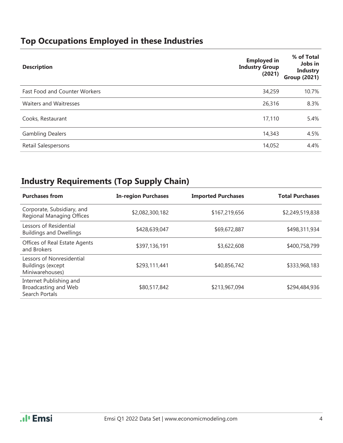## **Top Occupations Employed in these Industries**

| <b>Description</b>                   | <b>Employed in</b><br><b>Industry Group</b><br>(2021) | % of Total<br>Jobs in<br><b>Industry</b><br><b>Group (2021)</b> |
|--------------------------------------|-------------------------------------------------------|-----------------------------------------------------------------|
| <b>Fast Food and Counter Workers</b> | 34,259                                                | 10.7%                                                           |
| <b>Waiters and Waitresses</b>        | 26,316                                                | 8.3%                                                            |
| Cooks, Restaurant                    | 17,110                                                | 5.4%                                                            |
| <b>Gambling Dealers</b>              | 14,343                                                | 4.5%                                                            |
| Retail Salespersons                  | 14,052                                                | 4.4%                                                            |

## **Industry Requirements (Top Supply Chain)**

| <b>Purchases from</b>                                                    | <b>In-region Purchases</b> | <b>Imported Purchases</b> | <b>Total Purchases</b> |
|--------------------------------------------------------------------------|----------------------------|---------------------------|------------------------|
| Corporate, Subsidiary, and<br>Regional Managing Offices                  | \$2,082,300,182            | \$167,219,656             | \$2,249,519,838        |
| Lessors of Residential<br><b>Buildings and Dwellings</b>                 | \$428,639,047              | \$69,672,887              | \$498,311,934          |
| Offices of Real Estate Agents<br>and Brokers                             | \$397,136,191              | \$3,622,608               | \$400,758,799          |
| Lessors of Nonresidential<br><b>Buildings (except</b><br>Miniwarehouses) | \$293,111,441              | \$40,856,742              | \$333,968,183          |
| Internet Publishing and<br>Broadcasting and Web<br>Search Portals        | \$80,517,842               | \$213,967,094             | \$294,484,936          |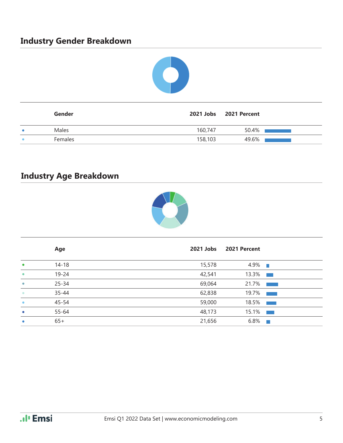## **Industry Gender Breakdown**



| Gender         |         | 2021 Jobs 2021 Percent |
|----------------|---------|------------------------|
| Males          | 160,747 | 50.4%                  |
| <b>Females</b> | 158,103 | 49.6%                  |

## **Industry Age Breakdown**



|           | Age       | 2021 Jobs | 2021 Percent |                                   |
|-----------|-----------|-----------|--------------|-----------------------------------|
| $\bullet$ | $14 - 18$ | 15,578    | $4.9\%$      |                                   |
| $\bullet$ | $19 - 24$ | 42,541    | $13.3\%$     |                                   |
| $\bullet$ | $25 - 34$ | 69,064    | 21.7%        |                                   |
| $\bullet$ | $35 - 44$ | 62,838    | 19.7%        | <b>Contract Contract Contract</b> |
| $\bullet$ | $45 - 54$ | 59,000    | $18.5\%$     |                                   |
| $\bullet$ | 55-64     | 48,173    | $15.1\%$     |                                   |
| $\bullet$ | $65+$     | 21,656    | 6.8%         | $\mathcal{L}$                     |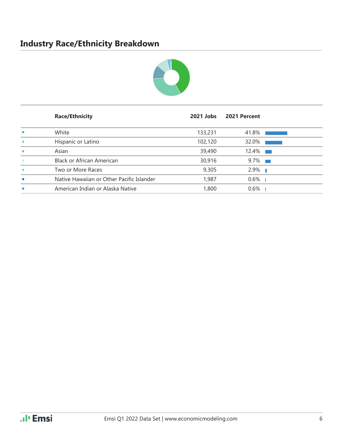## **Industry Race/Ethnicity Breakdown**



|           | <b>Race/Ethnicity</b>                     | 2021 Jobs | 2021 Percent |  |
|-----------|-------------------------------------------|-----------|--------------|--|
|           | White                                     | 133,231   | 41.8%        |  |
| $\bullet$ | Hispanic or Latino                        | 102,120   | 32.0%        |  |
| $\bullet$ | Asian                                     | 39,490    | $12.4\%$     |  |
| $\bullet$ | Black or African American                 | 30,916    | $9.7\%$      |  |
|           | Two or More Races                         | 9,305     | $2.9\%$      |  |
| $\bullet$ | Native Hawaiian or Other Pacific Islander | 1,987     | $0.6\%$      |  |
|           | American Indian or Alaska Native          | 1,800     | $0.6\%$      |  |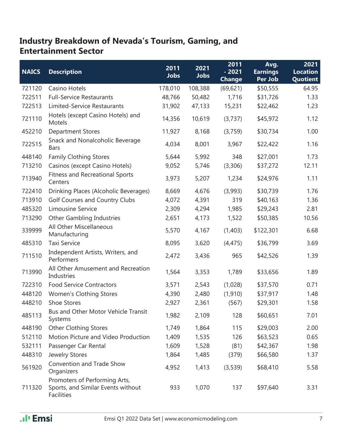#### **Industry Breakdown of Nevada's Tourism, Gaming, and Entertainment Sector**

| <b>NAICS</b> | <b>Description</b>                                                                       | 2011<br><b>Jobs</b> | 2021<br><b>Jobs</b> | 2011<br>$-2021$<br><b>Change</b> | Avg.<br><b>Earnings</b><br>Per Job | 2021<br><b>Location</b><br>Quotient |
|--------------|------------------------------------------------------------------------------------------|---------------------|---------------------|----------------------------------|------------------------------------|-------------------------------------|
| 721120       | Casino Hotels                                                                            | 178,010             | 108,388             | (69, 621)                        | \$50,555                           | 64.95                               |
| 722511       | <b>Full-Service Restaurants</b>                                                          | 48,766              | 50,482              | 1,716                            | \$31,726                           | 1.33                                |
| 722513       | Limited-Service Restaurants                                                              | 31,902              | 47,133              | 15,231                           | \$22,462                           | 1.23                                |
| 721110       | Hotels (except Casino Hotels) and<br>Motels                                              | 14,356              | 10,619              | (3,737)                          | \$45,972                           | 1.12                                |
| 452210       | <b>Department Stores</b>                                                                 | 11,927              | 8,168               | (3,759)                          | \$30,734                           | 1.00                                |
| 722515       | Snack and Nonalcoholic Beverage<br><b>Bars</b>                                           | 4,034               | 8,001               | 3,967                            | \$22,422                           | 1.16                                |
| 448140       | <b>Family Clothing Stores</b>                                                            | 5,644               | 5,992               | 348                              | \$27,001                           | 1.73                                |
| 713210       | Casinos (except Casino Hotels)                                                           | 9,052               | 5,746               | (3,306)                          | \$37,272                           | 12.11                               |
| 713940       | <b>Fitness and Recreational Sports</b><br>Centers                                        | 3,973               | 5,207               | 1,234                            | \$24,976                           | 1.11                                |
| 722410       | Drinking Places (Alcoholic Beverages)                                                    | 8,669               | 4,676               | (3,993)                          | \$30,739                           | 1.76                                |
| 713910       | Golf Courses and Country Clubs                                                           | 4,072               | 4,391               | 319                              | \$40,163                           | 1.36                                |
| 485320       | Limousine Service                                                                        | 2,309               | 4,294               | 1,985                            | \$29,243                           | 2.81                                |
| 713290       | <b>Other Gambling Industries</b>                                                         | 2,651               | 4,173               | 1,522                            | \$50,385                           | 10.56                               |
| 339999       | All Other Miscellaneous<br>Manufacturing                                                 | 5,570               | 4,167               | (1,403)                          | \$122,301                          | 6.68                                |
| 485310       | <b>Taxi Service</b>                                                                      | 8,095               | 3,620               | (4, 475)                         | \$36,799                           | 3.69                                |
| 711510       | Independent Artists, Writers, and<br>Performers                                          | 2,472               | 3,436               | 965                              | \$42,526                           | 1.39                                |
| 713990       | All Other Amusement and Recreation<br>Industries                                         | 1,564               | 3,353               | 1,789                            | \$33,656                           | 1.89                                |
| 722310       | <b>Food Service Contractors</b>                                                          | 3,571               | 2,543               | (1,028)                          | \$37,570                           | 0.71                                |
| 448120       | Women's Clothing Stores                                                                  | 4,390               | 2,480               | (1, 910)                         | \$37,917                           | 1.48                                |
| 448210       | Shoe Stores                                                                              | 2,927               | 2,361               | (567)                            | \$29,301                           | 1.58                                |
| 485113       | Bus and Other Motor Vehicle Transit<br>Systems                                           | 1,982               | 2,109               | 128                              | \$60,651                           | 7.01                                |
| 448190       | <b>Other Clothing Stores</b>                                                             | 1,749               | 1,864               | 115                              | \$29,003                           | 2.00                                |
| 512110       | Motion Picture and Video Production                                                      | 1,409               | 1,535               | 126                              | \$63,523                           | 0.65                                |
| 532111       | Passenger Car Rental                                                                     | 1,609               | 1,528               | (81)                             | \$42,367                           | 1.98                                |
| 448310       | Jewelry Stores                                                                           | 1,864               | 1,485               | (379)                            | \$66,580                           | 1.37                                |
| 561920       | Convention and Trade Show<br>Organizers                                                  | 4,952               | 1,413               | (3,539)                          | \$68,410                           | 5.58                                |
| 711320       | Promoters of Performing Arts,<br>Sports, and Similar Events without<br><b>Facilities</b> | 933                 | 1,070               | 137                              | \$97,640                           | 3.31                                |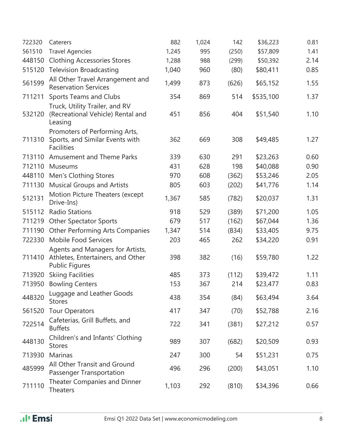| 722320 | Caterers                                                                                       | 882   | 1,024 | 142   | \$36,223  | 0.81 |
|--------|------------------------------------------------------------------------------------------------|-------|-------|-------|-----------|------|
| 561510 | <b>Travel Agencies</b>                                                                         | 1,245 | 995   | (250) | \$57,809  | 1.41 |
| 448150 | <b>Clothing Accessories Stores</b>                                                             | 1,288 | 988   | (299) | \$50,392  | 2.14 |
| 515120 | <b>Television Broadcasting</b>                                                                 | 1,040 | 960   | (80)  | \$80,411  | 0.85 |
| 561599 | All Other Travel Arrangement and<br><b>Reservation Services</b>                                | 1,499 | 873   | (626) | \$65,152  | 1.55 |
| 711211 | <b>Sports Teams and Clubs</b>                                                                  | 354   | 869   | 514   | \$535,100 | 1.37 |
| 532120 | Truck, Utility Trailer, and RV<br>(Recreational Vehicle) Rental and<br>Leasing                 | 451   | 856   | 404   | \$51,540  | 1.10 |
| 711310 | Promoters of Performing Arts,<br>Sports, and Similar Events with<br><b>Facilities</b>          | 362   | 669   | 308   | \$49,485  | 1.27 |
| 713110 | <b>Amusement and Theme Parks</b>                                                               | 339   | 630   | 291   | \$23,263  | 0.60 |
| 712110 | Museums                                                                                        | 431   | 628   | 198   | \$40,088  | 0.90 |
| 448110 | Men's Clothing Stores                                                                          | 970   | 608   | (362) | \$53,246  | 2.05 |
| 711130 | <b>Musical Groups and Artists</b>                                                              | 805   | 603   | (202) | \$41,776  | 1.14 |
| 512131 | Motion Picture Theaters (except<br>Drive-Ins)                                                  | 1,367 | 585   | (782) | \$20,037  | 1.31 |
| 515112 | <b>Radio Stations</b>                                                                          | 918   | 529   | (389) | \$71,200  | 1.05 |
| 711219 | <b>Other Spectator Sports</b>                                                                  | 679   | 517   | (162) | \$67,044  | 1.36 |
| 711190 | Other Performing Arts Companies                                                                | 1,347 | 514   | (834) | \$33,405  | 9.75 |
| 722330 | Mobile Food Services                                                                           | 203   | 465   | 262   | \$34,220  | 0.91 |
| 711410 | Agents and Managers for Artists,<br>Athletes, Entertainers, and Other<br><b>Public Figures</b> | 398   | 382   | (16)  | \$59,780  | 1.22 |
| 713920 | <b>Skiing Facilities</b>                                                                       | 485   | 373   | (112) | \$39,472  | 1.11 |
| 713950 | <b>Bowling Centers</b>                                                                         | 153   | 367   | 214   | \$23,477  | 0.83 |
| 448320 | Luggage and Leather Goods<br><b>Stores</b>                                                     | 438   | 354   | (84)  | \$63,494  | 3.64 |
| 561520 | <b>Tour Operators</b>                                                                          | 417   | 347   | (70)  | \$52,788  | 2.16 |
| 722514 | Cafeterias, Grill Buffets, and<br><b>Buffets</b>                                               | 722   | 341   | (381) | \$27,212  | 0.57 |
| 448130 | Children's and Infants' Clothing<br><b>Stores</b>                                              | 989   | 307   | (682) | \$20,509  | 0.93 |
| 713930 | <b>Marinas</b>                                                                                 | 247   | 300   | 54    | \$51,231  | 0.75 |
| 485999 | All Other Transit and Ground<br>Passenger Transportation                                       | 496   | 296   | (200) | \$43,051  | 1.10 |
| 711110 | Theater Companies and Dinner<br><b>Theaters</b>                                                | 1,103 | 292   | (810) | \$34,396  | 0.66 |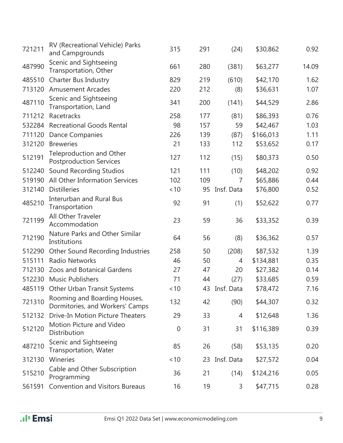| 721211 | RV (Recreational Vehicle) Parks<br>and Campgrounds                | 315         | 291 | (24)       | \$30,862  | 0.92  |
|--------|-------------------------------------------------------------------|-------------|-----|------------|-----------|-------|
| 487990 | Scenic and Sightseeing<br>Transportation, Other                   | 661         | 280 | (381)      | \$63,277  | 14.09 |
| 485510 | Charter Bus Industry                                              | 829         | 219 | (610)      | \$42,170  | 1.62  |
| 713120 | <b>Amusement Arcades</b>                                          | 220         | 212 | (8)        | \$36,631  | 1.07  |
| 487110 | Scenic and Sightseeing<br>Transportation, Land                    | 341         | 200 | (141)      | \$44,529  | 2.86  |
| 711212 | Racetracks                                                        | 258         | 177 | (81)       | \$86,393  | 0.76  |
|        | 532284 Recreational Goods Rental                                  | 98          | 157 | 59         | \$42,467  | 1.03  |
| 711120 | Dance Companies                                                   | 226         | 139 | (87)       | \$166,013 | 1.11  |
| 312120 | <b>Breweries</b>                                                  | 21          | 133 | 112        | \$53,652  | 0.17  |
| 512191 | <b>Teleproduction and Other</b><br><b>Postproduction Services</b> | 127         | 112 | (15)       | \$80,373  | 0.50  |
| 512240 | Sound Recording Studios                                           | 121         | 111 | (10)       | \$48,202  | 0.92  |
| 519190 | All Other Information Services                                    | 102         | 109 | 7          | \$65,886  | 0.44  |
| 312140 | <b>Distilleries</b>                                               | ~10         | 95  | Insf. Data | \$76,800  | 0.52  |
| 485210 | <b>Interurban and Rural Bus</b><br>Transportation                 | 92          | 91  | (1)        | \$52,622  | 0.77  |
| 721199 | All Other Traveler<br>Accommodation                               | 23          | 59  | 36         | \$33,352  | 0.39  |
| 712190 | Nature Parks and Other Similar<br>Institutions                    | 64          | 56  | (8)        | \$36,362  | 0.57  |
| 512290 | Other Sound Recording Industries                                  | 258         | 50  | (208)      | \$87,532  | 1.39  |
| 515111 | <b>Radio Networks</b>                                             | 46          | 50  | 4          | \$134,881 | 0.35  |
| 712130 | <b>Zoos and Botanical Gardens</b>                                 | 27          | 47  | 20         | \$27,382  | 0.14  |
| 512230 | <b>Music Publishers</b>                                           | 71          | 44  | (27)       | \$33,685  | 0.59  |
|        | 485119 Other Urban Transit Systems                                | < 10        | 43  | Insf. Data | \$78,472  | 7.16  |
| 721310 | Rooming and Boarding Houses,<br>Dormitories, and Workers' Camps   | 132         | 42  | (90)       | \$44,307  | 0.32  |
| 512132 | Drive-In Motion Picture Theaters                                  | 29          | 33  | 4          | \$12,648  | 1.36  |
| 512120 | Motion Picture and Video<br>Distribution                          | $\mathbf 0$ | 31  | 31         | \$116,389 | 0.39  |
| 487210 | Scenic and Sightseeing<br>Transportation, Water                   | 85          | 26  | (58)       | \$53,135  | 0.20  |
| 312130 | Wineries                                                          | ~10         | 23  | Insf. Data | \$27,572  | 0.04  |
| 515210 | Cable and Other Subscription<br>Programming                       | 36          | 21  | (14)       | \$124,216 | 0.05  |
| 561591 | <b>Convention and Visitors Bureaus</b>                            | 16          | 19  | 3          | \$47,715  | 0.28  |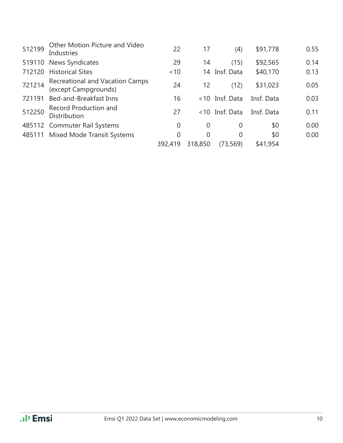| 512199 | Other Motion Picture and Video<br><b>Industries</b>     | 22             | 17       | (4)            | \$91,778   | 0.55 |
|--------|---------------------------------------------------------|----------------|----------|----------------|------------|------|
| 519110 | <b>News Syndicates</b>                                  | 29             | 14       | (15)           | \$92,565   | 0.14 |
| 712120 | <b>Historical Sites</b>                                 | ~10            |          | 14 Insf. Data  | \$40,170   | 0.13 |
| 721214 | Recreational and Vacation Camps<br>(except Campgrounds) | 24             | 12       | (12)           | \$31,023   | 0.05 |
| 721191 | Bed-and-Breakfast Inns                                  | 16             |          | <10 Insf. Data | Insf. Data | 0.03 |
| 512250 | Record Production and<br><b>Distribution</b>            | 27             |          | <10 Insf. Data | Insf. Data | 0.11 |
|        | 485112 Commuter Rail Systems                            | $\overline{0}$ | $\theta$ | $\overline{0}$ | \$0        | 0.00 |
|        | 485111 Mixed Mode Transit Systems                       | $\overline{0}$ | 0        | $\Omega$       | \$0        | 0.00 |
|        |                                                         | 392,419        | 318,850  | (73, 569)      | \$41,954   |      |